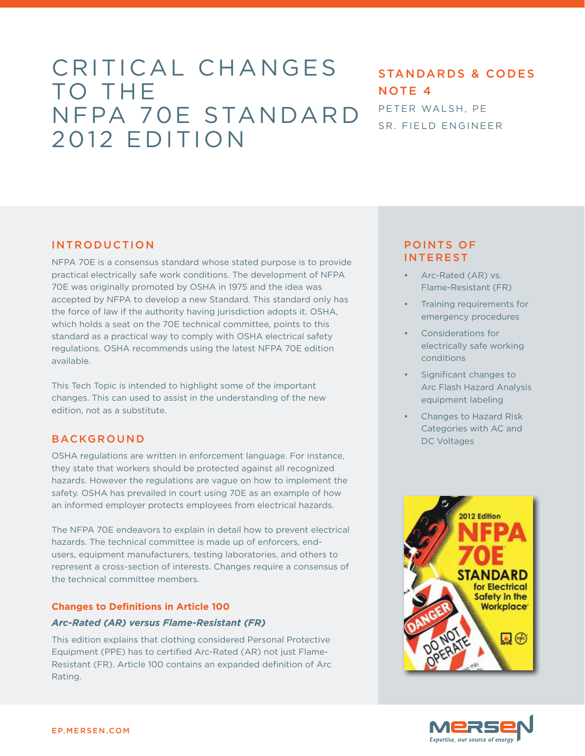# Critical Changes TO THE NFPA 70E Standard 2012 Edition

# Standards & Codes NOTE<sub>4</sub> Peter Walsh, PE Sr. Field Engineer

## **INTRODUCTION**

NFPA 70E is a consensus standard whose stated purpose is to provide practical electrically safe work conditions. The development of NFPA 70E was originally promoted by OSHA in 1975 and the idea was accepted by NFPA to develop a new Standard. This standard only has the force of law if the authority having jurisdiction adopts it. OSHA, which holds a seat on the 70E technical committee, points to this standard as a practical way to comply with OSHA electrical safety regulations. OSHA recommends using the latest NFPA 70E edition available.

This Tech Topic is intended to highlight some of the important changes. This can used to assist in the understanding of the new edition, not as a substitute.

## **BACKGROUND**

OSHA regulations are written in enforcement language. For instance, they state that workers should be protected against all recognized hazards. However the regulations are vague on how to implement the safety. OSHA has prevailed in court using 70E as an example of how an informed employer protects employees from electrical hazards.

The NFPA 70E endeavors to explain in detail how to prevent electrical hazards. The technical committee is made up of enforcers, endusers, equipment manufacturers, testing laboratories, and others to represent a cross-section of interests. Changes require a consensus of the technical committee members.

#### **Changes to Definitions in Article 100**

#### *Arc-Rated (AR) versus Flame-Resistant (FR)*

This edition explains that clothing considered Personal Protective Equipment (PPE) has to certified Arc-Rated (AR) not just Flame-Resistant (FR). Article 100 contains an expanded definition of Arc Rating.

## POINTS OF INTEREST

- Arc-Rated (AR) vs. Flame-Resistant (FR)
- Training requirements for emergency procedures
- Considerations for electrically safe working conditions
- Significant changes to Arc Flash Hazard Analysis equipment labeling
- Changes to Hazard Risk Categories with AC and DC Voltages



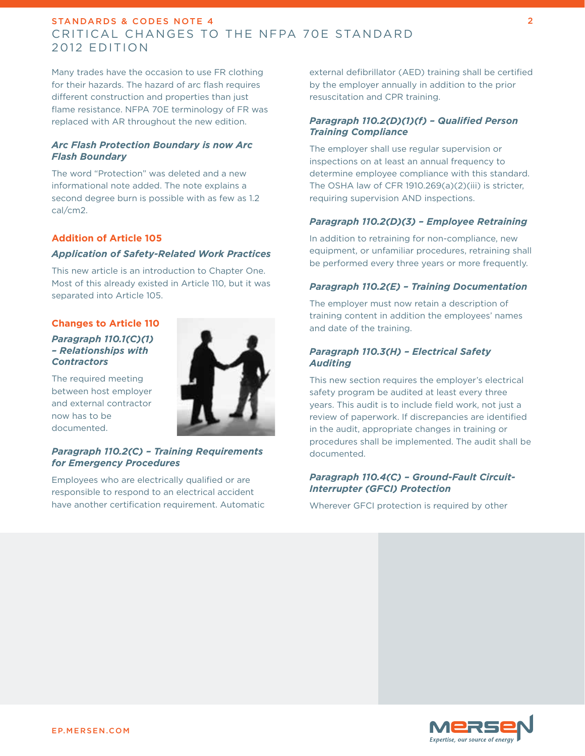Many trades have the occasion to use FR clothing for their hazards. The hazard of arc flash requires different construction and properties than just flame resistance. NFPA 70E terminology of FR was replaced with AR throughout the new edition.

#### *Arc Flash Protection Boundary is now Arc Flash Boundary*

The word "Protection" was deleted and a new informational note added. The note explains a second degree burn is possible with as few as 1.2 cal/cm2.

#### **Addition of Article 105**

#### *Application of Safety-Related Work Practices*

This new article is an introduction to Chapter One. Most of this already existed in Article 110, but it was separated into Article 105.

#### **Changes to Article 110**

#### *Paragraph 110.1(C)(1) – Relationships with Contractors*

The required meeting between host employer and external contractor now has to be documented.

## *Paragraph 110.2(C) – Training Requirements for Emergency Procedures*

Employees who are electrically qualified or are responsible to respond to an electrical accident have another certification requirement. Automatic



external defibrillator (AED) training shall be certified by the employer annually in addition to the prior resuscitation and CPR training.

#### *Paragraph 110.2(D)(1)(f) – Qualified Person Training Compliance*

The employer shall use regular supervision or inspections on at least an annual frequency to determine employee compliance with this standard. The OSHA law of CFR 1910.269(a)(2)(iii) is stricter, requiring supervision AND inspections.

#### *Paragraph 110.2(D)(3) – Employee Retraining*

In addition to retraining for non-compliance, new equipment, or unfamiliar procedures, retraining shall be performed every three years or more frequently.

#### *Paragraph 110.2(E) – Training Documentation*

The employer must now retain a description of training content in addition the employees' names and date of the training.

#### *Paragraph 110.3(H) – Electrical Safety Auditing*

This new section requires the employer's electrical safety program be audited at least every three years. This audit is to include field work, not just a review of paperwork. If discrepancies are identified in the audit, appropriate changes in training or procedures shall be implemented. The audit shall be documented.

#### *Paragraph 110.4(C) – Ground-Fault Circuit-Interrupter (GFCI) Protection*

Wherever GFCI protection is required by other

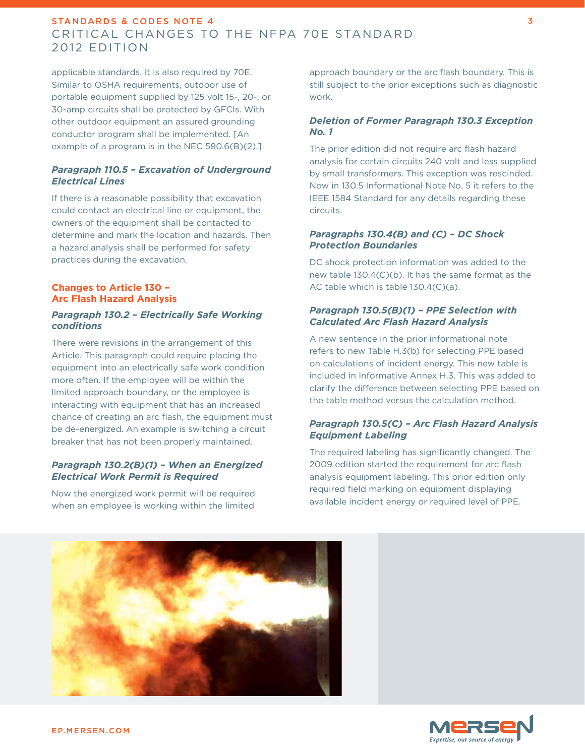applicable standards, it is also required by 70E. Similar to OSHA requirements, outdoor use of portable equipment supplied by 125 volt 15-, 20-, or 30-amp circuits shall be protected by GFCIs. With other outdoor equipment an assured grounding conductor program shall be implemented. [An example of a program is in the NEC 590.6(B)(2).]

#### *Paragraph 110.5 – Excavation of Underground Electrical Lines*

If there is a reasonable possibility that excavation could contact an electrical line or equipment, the owners of the equipment shall be contacted to determine and mark the location and hazards. Then a hazard analysis shall be performed for safety practices during the excavation.

#### **Changes to Article 130 – Arc Flash Hazard Analysis**

#### *Paragraph 130.2 – Electrically Safe Working conditions*

There were revisions in the arrangement of this Article. This paragraph could require placing the equipment into an electrically safe work condition more often. If the employee will be within the limited approach boundary, or the employee is interacting with equipment that has an increased chance of creating an arc flash, the equipment must be de-energized. An example is switching a circuit breaker that has not been properly maintained.

#### *Paragraph 130.2(B)(1) – When an Energized Electrical Work Permit is Required*

Now the energized work permit will be required when an employee is working within the limited

approach boundary or the arc flash boundary. This is still subject to the prior exceptions such as diagnostic work.

## *Deletion of Former Paragraph 130.3 Exception No. 1*

The prior edition did not require arc flash hazard analysis for certain circuits 240 volt and less supplied by small transformers. This exception was rescinded. Now in 130.5 Informational Note No. 5 it refers to the IEEE 1584 Standard for any details regarding these circuits.

#### *Paragraphs 130.4(B) and (C) – DC Shock Protection Boundaries*

DC shock protection information was added to the new table 130.4(C)(b). It has the same format as the AC table which is table 130.4(C)(a).

#### *Paragraph 130.5(B)(1) – PPE Selection with Calculated Arc Flash Hazard Analysis*

A new sentence in the prior informational note refers to new Table H.3(b) for selecting PPE based on calculations of incident energy. This new table is included in Informative Annex H.3. This was added to clarify the difference between selecting PPE based on the table method versus the calculation method.

#### *Paragraph 130.5(C) – Arc Flash Hazard Analysis Equipment Labeling*

The required labeling has significantly changed. The 2009 edition started the requirement for arc flash analysis equipment labeling. This prior edition only required field marking on equipment displaying available incident energy or required level of PPE.

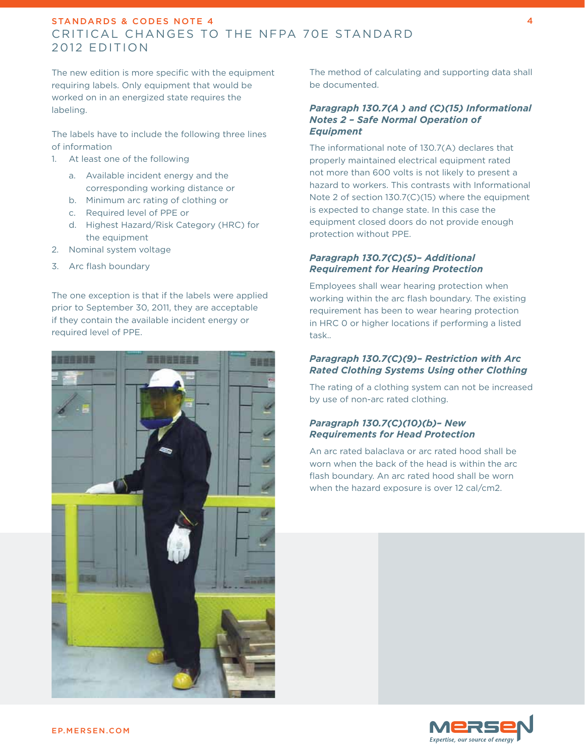The new edition is more specific with the equipment requiring labels. Only equipment that would be worked on in an energized state requires the labeling.

The labels have to include the following three lines of information

- 1. At least one of the following
	- a. Available incident energy and the corresponding working distance or
	- b. Minimum arc rating of clothing or
	- c. Required level of PPE or
	- d. Highest Hazard/Risk Category (HRC) for the equipment
- 2. Nominal system voltage
- 3. Arc flash boundary

The one exception is that if the labels were applied prior to September 30, 2011, they are acceptable if they contain the available incident energy or required level of PPE.



The method of calculating and supporting data shall be documented.

#### *Paragraph 130.7(A ) and (C)(15) Informational Notes 2 – Safe Normal Operation of Equipment*

The informational note of 130.7(A) declares that properly maintained electrical equipment rated not more than 600 volts is not likely to present a hazard to workers. This contrasts with Informational Note 2 of section 130.7(C)(15) where the equipment is expected to change state. In this case the equipment closed doors do not provide enough protection without PPE.

#### *Paragraph 130.7(C)(5)– Additional Requirement for Hearing Protection*

Employees shall wear hearing protection when working within the arc flash boundary. The existing requirement has been to wear hearing protection in HRC 0 or higher locations if performing a listed task..

#### *Paragraph 130.7(C)(9)– Restriction with Arc Rated Clothing Systems Using other Clothing*

The rating of a clothing system can not be increased by use of non-arc rated clothing.

#### *Paragraph 130.7(C)(10)(b)– New Requirements for Head Protection*

An arc rated balaclava or arc rated hood shall be worn when the back of the head is within the arc flash boundary. An arc rated hood shall be worn when the hazard exposure is over 12 cal/cm2.

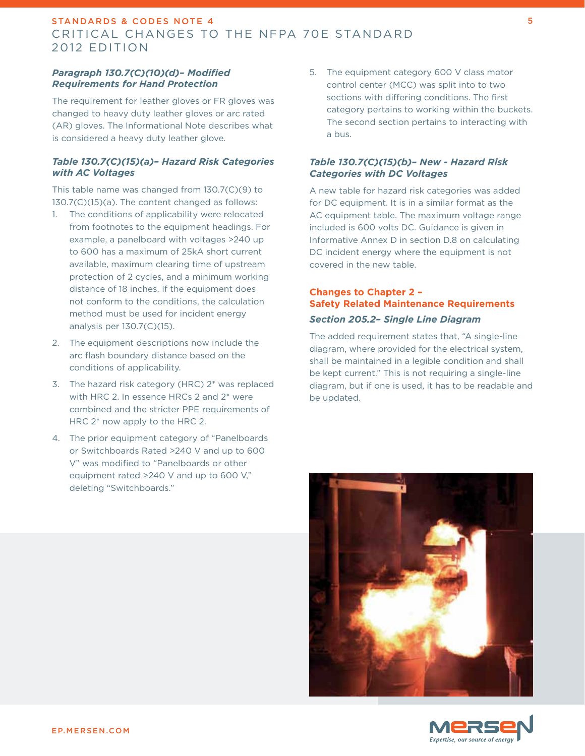#### *Paragraph 130.7(C)(10)(d)– Modified Requirements for Hand Protection*

The requirement for leather gloves or FR gloves was changed to heavy duty leather gloves or arc rated (AR) gloves. The Informational Note describes what is considered a heavy duty leather glove.

#### *Table 130.7(C)(15)(a)– Hazard Risk Categories with AC Voltages*

This table name was changed from 130.7(C)(9) to 130.7(C)(15)(a). The content changed as follows:

- 1. The conditions of applicability were relocated from footnotes to the equipment headings. For example, a panelboard with voltages >240 up to 600 has a maximum of 25kA short current available, maximum clearing time of upstream protection of 2 cycles, and a minimum working distance of 18 inches. If the equipment does not conform to the conditions, the calculation method must be used for incident energy analysis per 130.7(C)(15).
- 2. The equipment descriptions now include the arc flash boundary distance based on the conditions of applicability.
- 3. The hazard risk category (HRC) 2\* was replaced with HRC 2. In essence HRCs 2 and 2\* were combined and the stricter PPE requirements of HRC 2\* now apply to the HRC 2.
- 4. The prior equipment category of "Panelboards or Switchboards Rated >240 V and up to 600 V" was modified to "Panelboards or other equipment rated >240 V and up to 600 V," deleting "Switchboards."

5. The equipment category 600 V class motor control center (MCC) was split into to two sections with differing conditions. The first category pertains to working within the buckets. The second section pertains to interacting with a bus.

#### *Table 130.7(C)(15)(b)– New - Hazard Risk Categories with DC Voltages*

A new table for hazard risk categories was added for DC equipment. It is in a similar format as the AC equipment table. The maximum voltage range included is 600 volts DC. Guidance is given in Informative Annex D in section D.8 on calculating DC incident energy where the equipment is not covered in the new table.

## **Changes to Chapter 2 – Safety Related Maintenance Requirements** *Section 205.2– Single Line Diagram*

The added requirement states that, "A single-line diagram, where provided for the electrical system, shall be maintained in a legible condition and shall be kept current." This is not requiring a single-line diagram, but if one is used, it has to be readable and be updated.

![](_page_4_Picture_14.jpeg)

![](_page_4_Picture_15.jpeg)